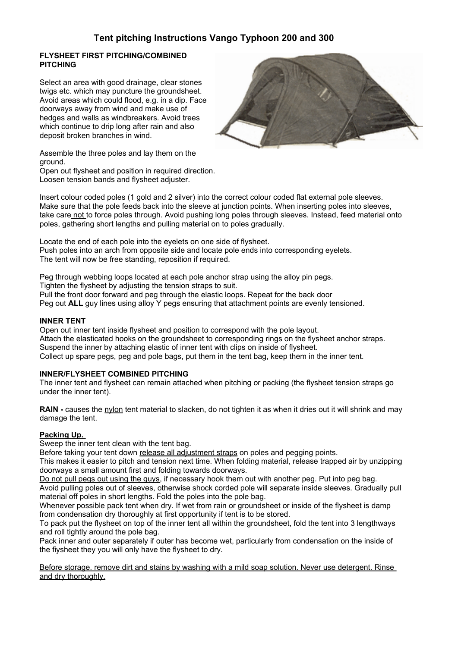# **FLYSHEET FIRST PITCHING/COMBINED PITCHING**

Select an area with good drainage, clear stones twigs etc. which may puncture the groundsheet. Avoid areas which could flood, e.g. in a dip. Face doorways away from wind and make use of hedges and walls as windbreakers. Avoid trees which continue to drip long after rain and also deposit broken branches in wind.



Assemble the three poles and lay them on the ground.

Open out flysheet and position in required direction. Loosen tension bands and flysheet adjuster.

Insert colour coded poles (1 gold and 2 silver) into the correct colour coded flat external pole sleeves. Make sure that the pole feeds back into the sleeve at junction points. When inserting poles into sleeves, take care not to force poles through. Avoid pushing long poles through sleeves. Instead, feed material onto poles, gathering short lengths and pulling material on to poles gradually.

Locate the end of each pole into the eyelets on one side of flysheet. Push poles into an arch from opposite side and locate pole ends into corresponding eyelets. The tent will now be free standing, reposition if required.

Peg through webbing loops located at each pole anchor strap using the alloy pin pegs.

Tighten the flysheet by adjusting the tension straps to suit.

Pull the front door forward and peg through the elastic loops. Repeat for the back door

Peg out **ALL** guy lines using alloy Y pegs ensuring that attachment points are evenly tensioned.

### **INNER TENT**

Open out inner tent inside flysheet and position to correspond with the pole layout. Attach the elasticated hooks on the groundsheet to corresponding rings on the flysheet anchor straps. Suspend the inner by attaching elastic of inner tent with clips on inside of flysheet. Collect up spare pegs, peg and pole bags, put them in the tent bag, keep them in the inner tent.

### **INNER/FLYSHEET COMBINED PITCHING**

The inner tent and flysheet can remain attached when pitching or packing (the flysheet tension straps go under the inner tent).

**RAIN** - causes the nylon tent material to slacken, do not tighten it as when it dries out it will shrink and may damage the tent.

### **Packing Up.**

Sweep the inner tent clean with the tent bag.

Before taking your tent down release all adjustment straps on poles and pegging points.

This makes it easier to pitch and tension next time. When folding material, release trapped air by unzipping doorways a small amount first and folding towards doorways.

Do not pull pegs out using the guys, if necessary hook them out with another peg. Put into peg bag. Avoid pulling poles out of sleeves, otherwise shock corded pole will separate inside sleeves. Gradually pull material off poles in short lengths. Fold the poles into the pole bag.

Whenever possible pack tent when dry. If wet from rain or groundsheet or inside of the flysheet is damp from condensation dry thoroughly at first opportunity if tent is to be stored.

To pack put the flysheet on top of the inner tent all within the groundsheet, fold the tent into 3 lengthways and roll tightly around the pole bag.

Pack inner and outer separately if outer has become wet, particularly from condensation on the inside of the fiysheet they you will only have the flysheet to dry.

Before storage. remove dirt and stains by washing with a mild soap solution. Never use detergent. Rinse and dry thoroughly.